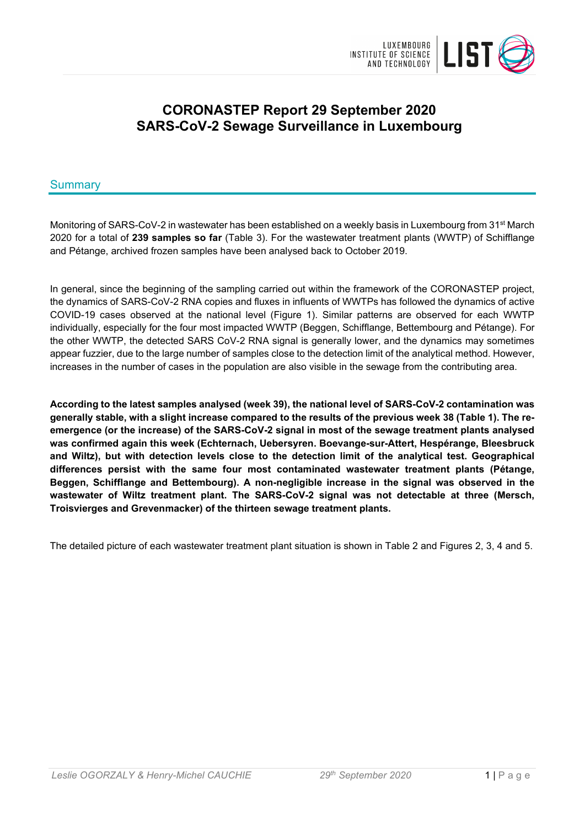

# **CORONASTEP Report 29 September 2020 SARS-CoV-2 Sewage Surveillance in Luxembourg**

# Summary

Monitoring of SARS-CoV-2 in wastewater has been established on a weekly basis in Luxembourg from 31<sup>st</sup> March 2020 for a total of **239 samples so far** (Table 3). For the wastewater treatment plants (WWTP) of Schifflange and Pétange, archived frozen samples have been analysed back to October 2019.

In general, since the beginning of the sampling carried out within the framework of the CORONASTEP project, the dynamics of SARS-CoV-2 RNA copies and fluxes in influents of WWTPs has followed the dynamics of active COVID-19 cases observed at the national level (Figure 1). Similar patterns are observed for each WWTP individually, especially for the four most impacted WWTP (Beggen, Schifflange, Bettembourg and Pétange). For the other WWTP, the detected SARS CoV-2 RNA signal is generally lower, and the dynamics may sometimes appear fuzzier, due to the large number of samples close to the detection limit of the analytical method. However, increases in the number of cases in the population are also visible in the sewage from the contributing area.

**According to the latest samples analysed (week 39), the national level of SARS-CoV-2 contamination was generally stable, with a slight increase compared to the results of the previous week 38 (Table 1). The reemergence (or the increase) of the SARS-CoV-2 signal in most of the sewage treatment plants analysed was confirmed again this week (Echternach, Uebersyren. Boevange-sur-Attert, Hespérange, Bleesbruck and Wiltz), but with detection levels close to the detection limit of the analytical test. Geographical differences persist with the same four most contaminated wastewater treatment plants (Pétange, Beggen, Schifflange and Bettembourg). A non-negligible increase in the signal was observed in the wastewater of Wiltz treatment plant. The SARS-CoV-2 signal was not detectable at three (Mersch, Troisvierges and Grevenmacker) of the thirteen sewage treatment plants.**

The detailed picture of each wastewater treatment plant situation is shown in Table 2 and Figures 2, 3, 4 and 5.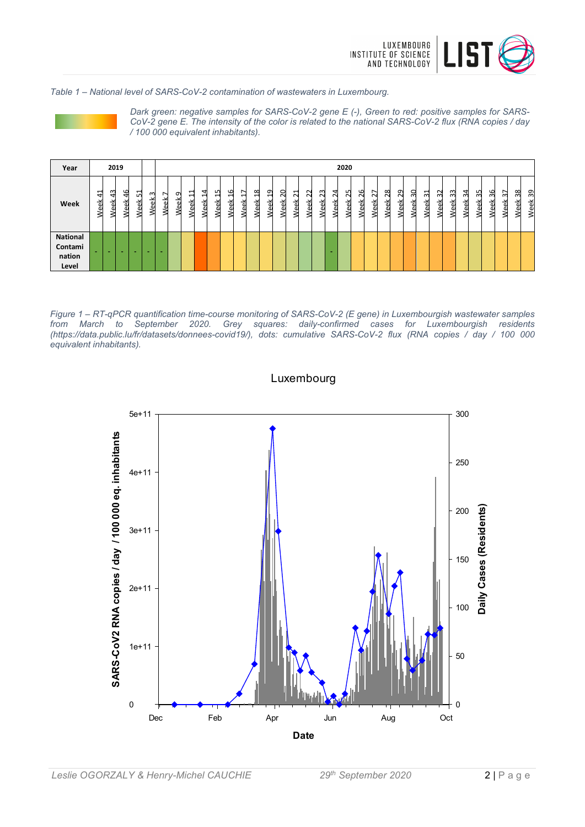

*Table 1 – National level of SARS-CoV-2 contamination of wastewaters in Luxembourg.*



*Dark green: negative samples for SARS-CoV-2 gene E (-), Green to red: positive samples for SARS-CoV-2 gene E. The intensity of the color is related to the national SARS-CoV-2 flux (RNA copies / day / 100 000 equivalent inhabitants).*

| Year                                          |            |                | 2019        |                                               |                                             |                    |   |                  |             |                  |                                    |             |                         |                                         |                                  |                       |                            |                                 |             | 2020                       |                       |                           |                         |                                     |           |                  |               |                  |                   |                   |              |            |            |            |
|-----------------------------------------------|------------|----------------|-------------|-----------------------------------------------|---------------------------------------------|--------------------|---|------------------|-------------|------------------|------------------------------------|-------------|-------------------------|-----------------------------------------|----------------------------------|-----------------------|----------------------------|---------------------------------|-------------|----------------------------|-----------------------|---------------------------|-------------------------|-------------------------------------|-----------|------------------|---------------|------------------|-------------------|-------------------|--------------|------------|------------|------------|
| Week                                          | 41<br>Week | ᠬ<br>↤<br>Week | ٩<br>亩<br>Š | $\overline{\phantom{0}}$<br>Ľ٥<br>읫<br>ω<br>∢ | m<br>≚<br>$\overline{\mathbf{v}}$<br>ω<br>≤ | ∼<br>즺<br>$\omega$ | ᡡ | ↽<br>⊣<br>싃<br>╯ | ◅<br>⊣<br>⋇ | L<br>↽<br>⋇<br>< | G<br>$\overline{\phantom{0}}$<br>⋇ | −<br>싶<br>Œ | $\infty$<br>e<br>싃<br>ω | ഗ<br>$\overline{\phantom{0}}$<br>싃<br>Œ | $\circ$<br>$\sim$<br>읫<br>Φ<br>2 | ↽<br>$\sim$<br>싊<br>ω | $\sim$<br>$\sim$<br>ă<br>ى | $\sim$<br>$\sim$<br>ă<br>ω<br>≤ | ↤<br>싊<br>c | "<br>$\sim$<br>ă<br>ω<br>⊲ | 6<br>$\sim$<br>ă<br>c | $\sim$<br><u>eek</u><br>c | $\infty$<br>N<br>ă<br>Φ | თ<br>$\scriptstyle\sim$<br>eek<br>₿ | ႙<br>Week | ಸ<br>싃<br>c<br>≋ | 52<br>ă<br>۷e | ဣ<br>畜<br>Φ<br>℥ | 24<br>싊<br>ω<br>₹ | 55<br>ă<br>Φ<br>≋ | 36<br>싃<br>Š | 57<br>Week | 38<br>Week | 39<br>Week |
| <b>National</b><br>Contami<br>nation<br>Level |            | -              | -           | -                                             | -                                           |                    |   |                  |             |                  |                                    |             |                         |                                         |                                  |                       |                            |                                 | -           |                            |                       |                           |                         |                                     |           |                  |               |                  |                   |                   |              |            |            |            |

*Figure 1 – RT-qPCR quantification time-course monitoring of SARS-CoV-2 (E gene) in Luxembourgish wastewater samples from March to September 2020. Grey squares: daily-confirmed cases for Luxembourgish residents (https://data.public.lu/fr/datasets/donnees-covid19/), dots: cumulative SARS-CoV-2 flux (RNA copies / day / 100 000 equivalent inhabitants).*



Luxembourg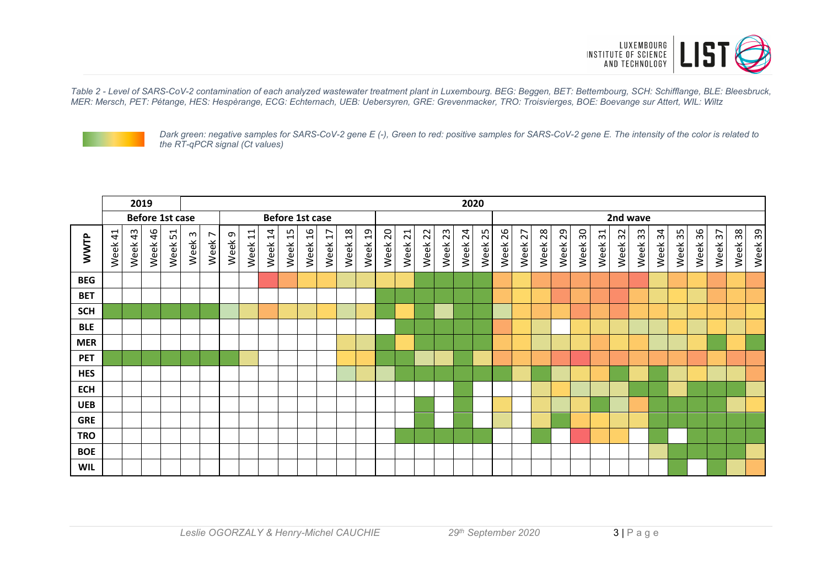

*Table 2 - Level of SARS-CoV-2 contamination of each analyzed wastewater treatment plant in Luxembourg. BEG: Beggen, BET: Bettembourg, SCH: Schifflange, BLE: Bleesbruck, MER: Mersch, PET: Pétange, HES: Hespèrange, ECG: Echternach, UEB: Uebersyren, GRE: Grevenmacker, TRO: Troisvierges, BOE: Boevange sur Attert, WIL: Wiltz*



*Dark green: negative samples for SARS-CoV-2 gene E (-), Green to red: positive samples for SARS-CoV-2 gene E. The intensity of the color is related to the RT-qPCR signal (Ct values)*

|             | 2019                   |            |            |                        |        | 2020   |        |         |         |            |                       |                        |                 |                |            |                         |            |         |         |            |            |            |            |            |             |            |            |          |         |            |            |            |            |            |
|-------------|------------------------|------------|------------|------------------------|--------|--------|--------|---------|---------|------------|-----------------------|------------------------|-----------------|----------------|------------|-------------------------|------------|---------|---------|------------|------------|------------|------------|------------|-------------|------------|------------|----------|---------|------------|------------|------------|------------|------------|
|             |                        |            |            | <b>Before 1st case</b> |        |        |        |         |         |            | Before 1st case       |                        |                 |                |            |                         |            |         |         |            |            |            |            |            |             |            |            | 2nd wave |         |            |            |            |            |            |
| <b>WWTP</b> | $\overline{4}$<br>Week | 43<br>Week | 46<br>Week | 51<br>Week             | Week 3 | Week 7 | Week 9 | Week 11 | Week 14 | 15<br>Week | $\frac{9}{2}$<br>Week | $\overline{1}$<br>Week | $^{28}$<br>Week | $^{9}$<br>Week | 20<br>Week | $\overline{21}$<br>Week | 22<br>Week | Week 23 | Week 24 | 25<br>Week | 26<br>Week | 27<br>Week | 28<br>Week | 29<br>Week | 30<br>Week. | 31<br>Week | 32<br>Week | Week 33  | Week 34 | 35<br>Week | 36<br>Week | 57<br>Week | 38<br>Week | 39<br>Week |
| <b>BEG</b>  |                        |            |            |                        |        |        |        |         |         |            |                       |                        |                 |                |            |                         |            |         |         |            |            |            |            |            |             |            |            |          |         |            |            |            |            |            |
| <b>BET</b>  |                        |            |            |                        |        |        |        |         |         |            |                       |                        |                 |                |            |                         |            |         |         |            |            |            |            |            |             |            |            |          |         |            |            |            |            |            |
| <b>SCH</b>  |                        |            |            |                        |        |        |        |         |         |            |                       |                        |                 |                |            |                         |            |         |         |            |            |            |            |            |             |            |            |          |         |            |            |            |            |            |
| <b>BLE</b>  |                        |            |            |                        |        |        |        |         |         |            |                       |                        |                 |                |            |                         |            |         |         |            |            |            |            |            |             |            |            |          |         |            |            |            |            |            |
| <b>MER</b>  |                        |            |            |                        |        |        |        |         |         |            |                       |                        |                 |                |            |                         |            |         |         |            |            |            |            |            |             |            |            |          |         |            |            |            |            |            |
| <b>PET</b>  |                        |            |            |                        |        |        |        |         |         |            |                       |                        |                 |                |            |                         |            |         |         |            |            |            |            |            |             |            |            |          |         |            |            |            |            |            |
| <b>HES</b>  |                        |            |            |                        |        |        |        |         |         |            |                       |                        |                 |                |            |                         |            |         |         |            |            |            |            |            |             |            |            |          |         |            |            |            |            |            |
| <b>ECH</b>  |                        |            |            |                        |        |        |        |         |         |            |                       |                        |                 |                |            |                         |            |         |         |            |            |            |            |            |             |            |            |          |         |            |            |            |            |            |
| <b>UEB</b>  |                        |            |            |                        |        |        |        |         |         |            |                       |                        |                 |                |            |                         |            |         |         |            |            |            |            |            |             |            |            |          |         |            |            |            |            |            |
| <b>GRE</b>  |                        |            |            |                        |        |        |        |         |         |            |                       |                        |                 |                |            |                         |            |         |         |            |            |            |            |            |             |            |            |          |         |            |            |            |            |            |
| <b>TRO</b>  |                        |            |            |                        |        |        |        |         |         |            |                       |                        |                 |                |            |                         |            |         |         |            |            |            |            |            |             |            |            |          |         |            |            |            |            |            |
| <b>BOE</b>  |                        |            |            |                        |        |        |        |         |         |            |                       |                        |                 |                |            |                         |            |         |         |            |            |            |            |            |             |            |            |          |         |            |            |            |            |            |
| <b>WIL</b>  |                        |            |            |                        |        |        |        |         |         |            |                       |                        |                 |                |            |                         |            |         |         |            |            |            |            |            |             |            |            |          |         |            |            |            |            |            |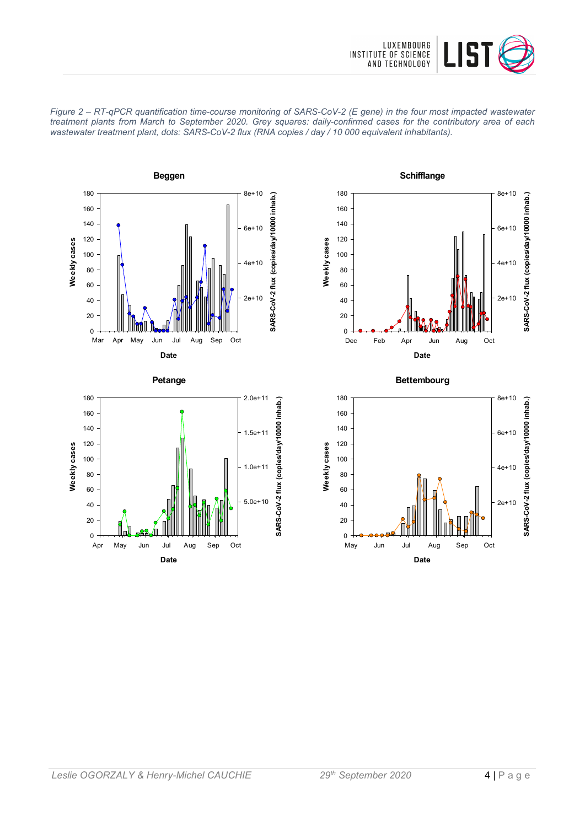











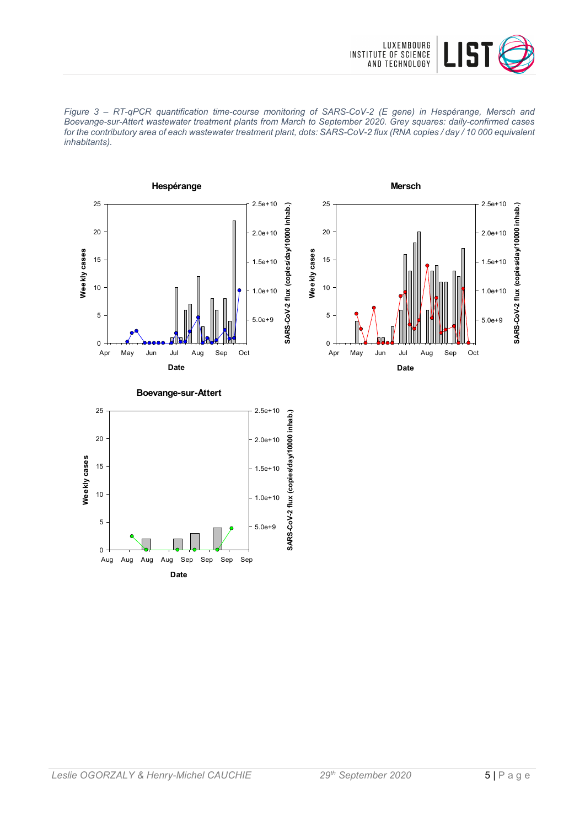

*Figure 3 – RT-qPCR quantification time-course monitoring of SARS-CoV-2 (E gene) in Hespérange, Mersch and Boevange-sur-Attert wastewater treatment plants from March to September 2020. Grey squares: daily-confirmed cases for the contributory area of each wastewater treatment plant, dots: SARS-CoV-2 flux (RNA copies / day / 10 000 equivalent inhabitants).*







**Boevange-sur-Attert**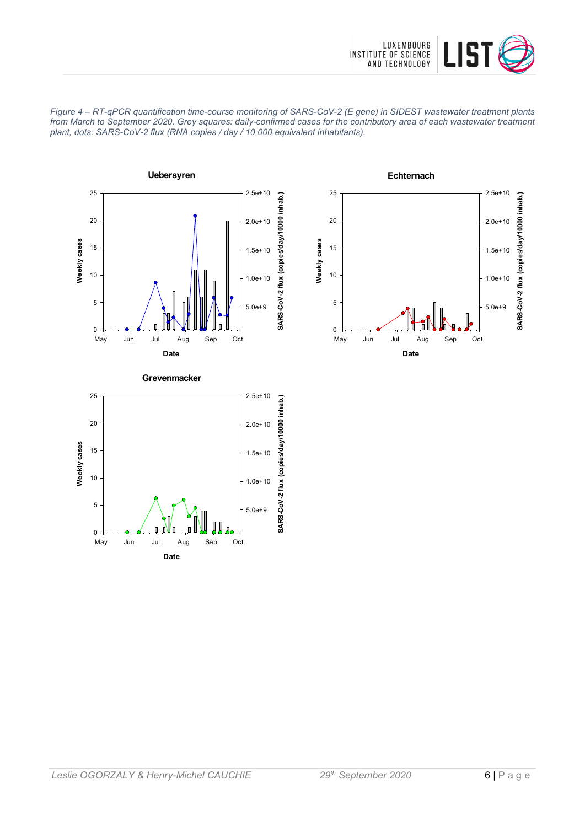









*Leslie OGORZALY & Henry-Michel CAUCHIE 29th September 2020* 6 | Page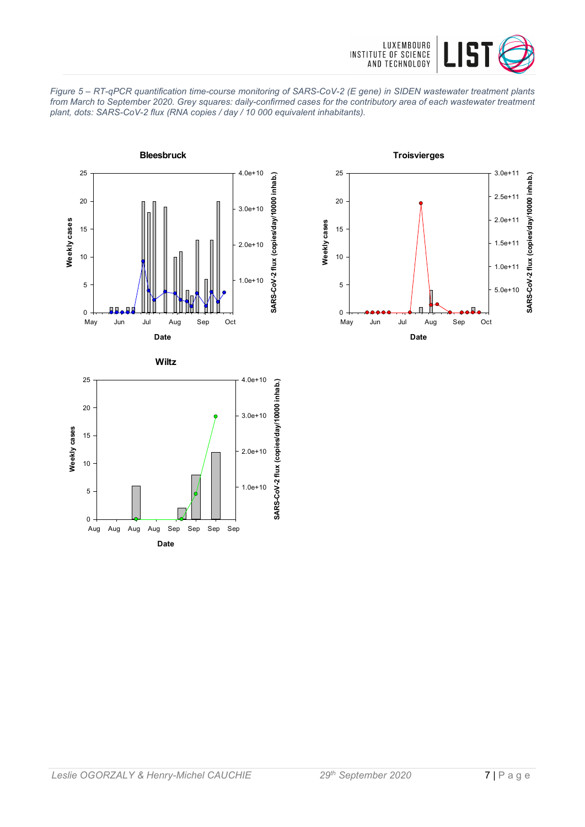





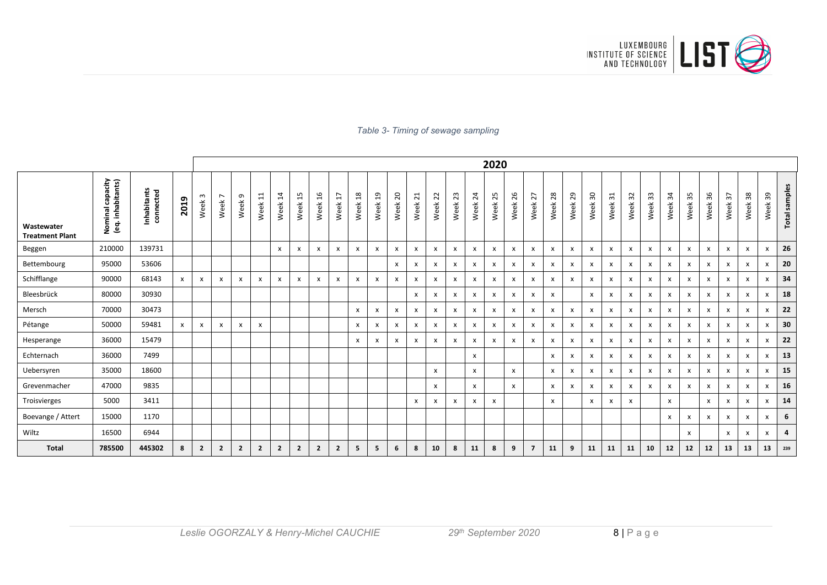

#### *Table 3- Timing of sewage sampling*

|                                      |                                                  |                          |              |                  |                                     |                   |                |                           |                |                           |                           |                 |                        |            |                         |                        |              |              | 2020                      |            |                           |                           |         |                                  |                           |                           |              |                           |                           |              |            |              |                           |               |
|--------------------------------------|--------------------------------------------------|--------------------------|--------------|------------------|-------------------------------------|-------------------|----------------|---------------------------|----------------|---------------------------|---------------------------|-----------------|------------------------|------------|-------------------------|------------------------|--------------|--------------|---------------------------|------------|---------------------------|---------------------------|---------|----------------------------------|---------------------------|---------------------------|--------------|---------------------------|---------------------------|--------------|------------|--------------|---------------------------|---------------|
| Wastewater<br><b>Treatment Plant</b> | Nominal capacity<br>(eq. inhabitants)<br>Nominal | Inhabitants<br>connected | 2019         | $\omega$<br>Week | $\overline{ }$<br>Week <sup>'</sup> | Week <sub>9</sub> | 11<br>Week     | $\overline{1}$<br>Week    | 15<br>Week     | 16<br>Week                | $\overline{17}$<br>Week   | $^{28}$<br>Week | $\overline{a}$<br>Week | 20<br>Week | $\overline{21}$<br>Week | $\overline{2}$<br>Week | 23<br>Week   | 24<br>Week   | 25<br>Week                | 26<br>Week | 27<br>Week                | 28<br>Week                | Week 29 | $\overline{\phantom{0}}$<br>Week | 31<br>Week                | 32<br>Week                | 33<br>Week   | $\mathfrak{L}$<br>Week    | 35<br>Week                | 36<br>Week   | 57<br>Week | 38<br>Week   | 39<br>Week                | Total samples |
| Beggen                               | 210000                                           | 139731                   |              |                  |                                     |                   |                | $\mathsf{x}$              | X              | $\mathsf{x}$              | X                         | X               | x                      | x          | X                       | $\mathsf{x}$           | X            | $\mathsf{x}$ | $\mathsf{x}$              | x          | X                         | $\boldsymbol{\mathsf{x}}$ | x       | x                                | х                         | $\mathsf{x}$              | $\mathsf{x}$ | $\boldsymbol{\mathsf{x}}$ | $\boldsymbol{\mathsf{x}}$ | X            | X          | X            | x                         | 26            |
| Bettembourg                          | 95000                                            | 53606                    |              |                  |                                     |                   |                |                           |                |                           |                           |                 |                        | x          | X                       | X                      | x            | $\mathsf{x}$ | X                         | x          | x                         | X                         | x       | x                                | х                         | $\mathsf{x}$              | x            | X                         | X                         | X            | x          | X            | x                         | 20            |
| Schifflange                          | 90000                                            | 68143                    | $\mathsf{x}$ | X                | x                                   | x                 | $\mathsf{x}$   | $\boldsymbol{\mathsf{x}}$ | x              | $\boldsymbol{\mathsf{x}}$ | $\boldsymbol{\mathsf{x}}$ | x               | x                      | X          | X                       | $\mathsf{x}$           | X            | $\mathsf{x}$ | $\boldsymbol{\mathsf{x}}$ | x          | $\pmb{\times}$            | $\boldsymbol{\mathsf{x}}$ | x       | x                                | x                         | X                         | x            | $\boldsymbol{\mathsf{x}}$ | $\boldsymbol{\mathsf{x}}$ | X            | X          | $\mathsf{x}$ | x                         | 34            |
| Bleesbrück                           | 80000                                            | 30930                    |              |                  |                                     |                   |                |                           |                |                           |                           |                 |                        |            | $\mathsf{x}$            | x                      | $\mathsf{x}$ | X            | $\boldsymbol{\mathsf{x}}$ | x          | $\boldsymbol{x}$          | $\boldsymbol{\mathsf{x}}$ |         | x                                | X                         | X                         | x            | $\boldsymbol{\mathsf{x}}$ | X                         | X            | x          | X            | x                         | 18            |
| Mersch                               | 70000                                            | 30473                    |              |                  |                                     |                   |                |                           |                |                           |                           | x               | x                      | x          | X                       | X                      | X            | x            | X                         | x          | X                         | $\boldsymbol{\mathsf{x}}$ | x       | X                                | X                         | X                         | X            | X                         | X                         | X            | X          | X            | x                         | 22            |
| Pétange                              | 50000                                            | 59481                    | $\mathsf{x}$ | $\mathsf{x}$     | x                                   | X                 | $\mathsf{x}$   |                           |                |                           |                           | $\mathsf{x}$    | x                      | X          | $\mathsf{x}$            | $\mathsf{x}$           | $\mathsf{x}$ | $\mathsf{x}$ | $\mathsf{x}$              | X          | $\boldsymbol{\mathsf{x}}$ | $\mathsf{x}$              | x       | X                                | $\boldsymbol{\mathsf{x}}$ | $\mathsf{x}$              | x            | $\boldsymbol{\mathsf{x}}$ | $\mathsf{x}$              | $\mathsf{x}$ | X          | X            | $\boldsymbol{\mathsf{x}}$ | 30            |
| Hesperange                           | 36000                                            | 15479                    |              |                  |                                     |                   |                |                           |                |                           |                           | x               | x                      | x          | X                       | X                      | X            | x            | X                         | x          | $\boldsymbol{\mathsf{x}}$ | $\mathsf{x}$              | x       | X                                | x                         | $\boldsymbol{\mathsf{x}}$ | X            | $\boldsymbol{\mathsf{x}}$ | $\boldsymbol{\mathsf{x}}$ | X            | X          | $\mathsf{x}$ | x                         | 22            |
| Echternach                           | 36000                                            | 7499                     |              |                  |                                     |                   |                |                           |                |                           |                           |                 |                        |            |                         |                        |              | x            |                           |            |                           | $\mathsf{x}$              | x       | X                                | х                         | X                         | x            | $\mathsf{x}$              | $\boldsymbol{\mathsf{x}}$ | X            | X          | X            | x                         | 13            |
| Uebersyren                           | 35000                                            | 18600                    |              |                  |                                     |                   |                |                           |                |                           |                           |                 |                        |            |                         | X                      |              | x            |                           | x          |                           | $\mathsf{x}$              | x       | x                                | $\mathsf{x}$              | $\mathsf{x}$              | X            | $\boldsymbol{\mathsf{x}}$ | $\boldsymbol{\mathsf{x}}$ | X            | x          | X            | x                         | 15            |
| Grevenmacher                         | 47000                                            | 9835                     |              |                  |                                     |                   |                |                           |                |                           |                           |                 |                        |            |                         | X                      |              | x            |                           | X          |                           | $\mathsf{x}$              | x       | x                                | х                         | X                         | $\mathsf{x}$ | $\boldsymbol{\mathsf{x}}$ | $\mathsf{x}$              | X            | X          | X            | x                         | 16            |
| Troisvierges                         | 5000                                             | 3411                     |              |                  |                                     |                   |                |                           |                |                           |                           |                 |                        |            | X                       | X                      | X            | X            | $\boldsymbol{\mathsf{x}}$ |            |                           | $\boldsymbol{\mathsf{x}}$ |         | x                                | х                         | X                         |              | X                         |                           | X            | x          | X            | X                         | 14            |
| Boevange / Attert                    | 15000                                            | 1170                     |              |                  |                                     |                   |                |                           |                |                           |                           |                 |                        |            |                         |                        |              |              |                           |            |                           |                           |         |                                  |                           |                           |              | $\boldsymbol{\mathsf{x}}$ | X                         | X            | X          | $\mathsf{x}$ | x                         | 6             |
| Wiltz                                | 16500                                            | 6944                     |              |                  |                                     |                   |                |                           |                |                           |                           |                 |                        |            |                         |                        |              |              |                           |            |                           |                           |         |                                  |                           |                           |              |                           | x                         |              | x          | X            | x                         | 4             |
| <b>Total</b>                         | 785500                                           | 445302                   | 8            | $\overline{2}$   | $\overline{2}$                      | $\overline{2}$    | $\overline{2}$ | $\overline{2}$            | $\overline{2}$ | $\overline{2}$            | $\overline{2}$            | 5               | 5                      | 6          | 8                       | 10                     | 8            | 11           | 8                         | 9          | $\overline{7}$            | 11                        | 9       | 11                               | 11                        | 11                        | 10           | 12                        | 12                        | 12           | 13         | 13           | 13                        | 239           |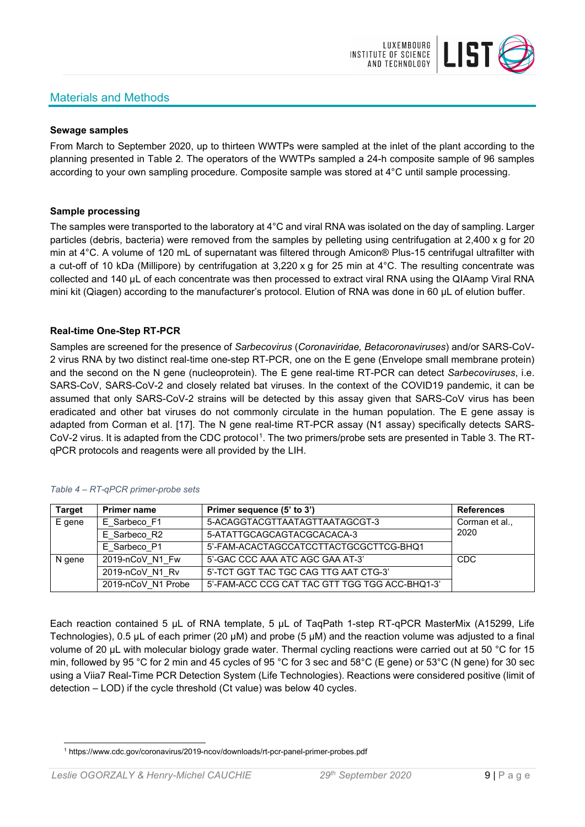# Materials and Methods



#### **Sewage samples**

From March to September 2020, up to thirteen WWTPs were sampled at the inlet of the plant according to the planning presented in Table 2. The operators of the WWTPs sampled a 24-h composite sample of 96 samples according to your own sampling procedure. Composite sample was stored at 4°C until sample processing.

#### **Sample processing**

The samples were transported to the laboratory at 4°C and viral RNA was isolated on the day of sampling. Larger particles (debris, bacteria) were removed from the samples by pelleting using centrifugation at 2,400 x g for 20 min at 4°C. A volume of 120 mL of supernatant was filtered through Amicon® Plus-15 centrifugal ultrafilter with a cut-off of 10 kDa (Millipore) by centrifugation at 3,220 x g for 25 min at 4°C. The resulting concentrate was collected and 140 µL of each concentrate was then processed to extract viral RNA using the QIAamp Viral RNA mini kit (Qiagen) according to the manufacturer's protocol. Elution of RNA was done in 60 μL of elution buffer.

#### **Real-time One-Step RT-PCR**

Samples are screened for the presence of *Sarbecovirus* (*Coronaviridae, Betacoronaviruses*) and/or SARS-CoV-2 virus RNA by two distinct real-time one-step RT-PCR, one on the E gene (Envelope small membrane protein) and the second on the N gene (nucleoprotein). The E gene real-time RT-PCR can detect *Sarbecoviruses*, i.e. SARS-CoV, SARS-CoV-2 and closely related bat viruses. In the context of the COVID19 pandemic, it can be assumed that only SARS-CoV-2 strains will be detected by this assay given that SARS-CoV virus has been eradicated and other bat viruses do not commonly circulate in the human population. The E gene assay is adapted from Corman et al. [17]. The N gene real-time RT-PCR assay (N1 assay) specifically detects SARS-CoV-2 virus. It is adapted from the CDC protocol[1](#page-8-0). The two primers/probe sets are presented in Table 3. The RTqPCR protocols and reagents were all provided by the LIH.

| <b>Target</b> | <b>Primer name</b> | Primer sequence (5' to 3')                     | <b>References</b> |
|---------------|--------------------|------------------------------------------------|-------------------|
| E gene        | E Sarbeco F1       | 5-ACAGGTACGTTAATAGTTAATAGCGT-3                 | Corman et al.,    |
|               | E Sarbeco R2       | 5-ATATTGCAGCAGTACGCACACA-3                     | 2020              |
|               | E Sarbeco P1       | 5'-FAM-ACACTAGCCATCCTTACTGCGCTTCG-BHQ1         |                   |
| N gene        | 2019-nCoV N1 Fw    | 5'-GAC CCC AAA ATC AGC GAA AT-3'               | <b>CDC</b>        |
|               | 2019-nCoV N1 Rv    | 5'-TCT GGT TAC TGC CAG TTG AAT CTG-3'          |                   |
|               | 2019-nCoV N1 Probe | 5'-FAM-ACC CCG CAT TAC GTT TGG TGG ACC-BHQ1-3' |                   |

#### *Table 4 – RT-qPCR primer-probe sets*

Each reaction contained 5 μL of RNA template, 5 μL of TaqPath 1-step RT-qPCR MasterMix (A15299, Life Technologies), 0.5 µL of each primer (20 µM) and probe (5 µM) and the reaction volume was adjusted to a final volume of 20 μL with molecular biology grade water. Thermal cycling reactions were carried out at 50 °C for 15 min, followed by 95 °C for 2 min and 45 cycles of 95 °C for 3 sec and 58°C (E gene) or 53°C (N gene) for 30 sec using a Viia7 Real-Time PCR Detection System (Life Technologies). Reactions were considered positive (limit of detection – LOD) if the cycle threshold (Ct value) was below 40 cycles.

<span id="page-8-0"></span><sup>1</sup> https://www.cdc.gov/coronavirus/2019-ncov/downloads/rt-pcr-panel-primer-probes.pdf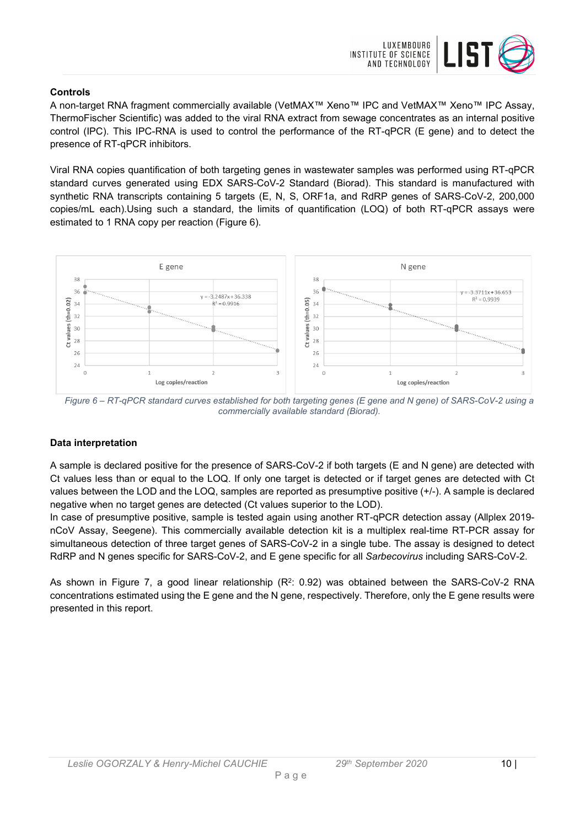

### **Controls**

A non-target RNA fragment commercially available (VetMAX™ Xeno™ IPC and VetMAX™ Xeno™ IPC Assay, ThermoFischer Scientific) was added to the viral RNA extract from sewage concentrates as an internal positive control (IPC). This IPC-RNA is used to control the performance of the RT-qPCR (E gene) and to detect the presence of RT-qPCR inhibitors.

Viral RNA copies quantification of both targeting genes in wastewater samples was performed using RT-qPCR standard curves generated using EDX SARS-CoV-2 Standard (Biorad). This standard is manufactured with synthetic RNA transcripts containing 5 targets (E, N, S, ORF1a, and RdRP genes of SARS-CoV-2, 200,000 copies/mL each).Using such a standard, the limits of quantification (LOQ) of both RT-qPCR assays were estimated to 1 RNA copy per reaction (Figure 6).



*Figure 6 – RT-qPCR standard curves established for both targeting genes (E gene and N gene) of SARS-CoV-2 using a commercially available standard (Biorad).*

## **Data interpretation**

A sample is declared positive for the presence of SARS-CoV-2 if both targets (E and N gene) are detected with Ct values less than or equal to the LOQ. If only one target is detected or if target genes are detected with Ct values between the LOD and the LOQ, samples are reported as presumptive positive (+/-). A sample is declared negative when no target genes are detected (Ct values superior to the LOD).

In case of presumptive positive, sample is tested again using another RT-qPCR detection assay (Allplex 2019 nCoV Assay, Seegene). This commercially available detection kit is a multiplex real-time RT-PCR assay for simultaneous detection of three target genes of SARS-CoV-2 in a single tube. The assay is designed to detect RdRP and N genes specific for SARS-CoV-2, and E gene specific for all *Sarbecovirus* including SARS-CoV-2.

As shown in Figure 7, a good linear relationship  $(R^2: 0.92)$  was obtained between the SARS-CoV-2 RNA concentrations estimated using the E gene and the N gene, respectively. Therefore, only the E gene results were presented in this report.